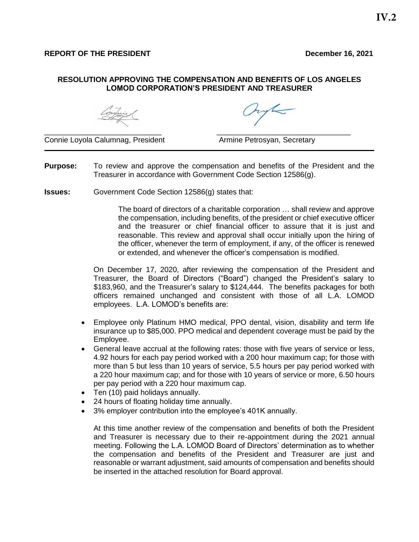## **RESOLUTION APPROVING THE COMPENSATION AND BENEFITS OF LOS ANGELES LOMOD CORPORATION'S PRESIDENT AND TREASURER**

Continuer

Connie Loyola Calumnag, President **Armine Petrosyan, Secretary** 

Jule

**Purpose:** To review and approve the compensation and benefits of the President and the Treasurer in accordance with Government Code Section 12586(g).

\_\_\_\_\_\_\_\_\_\_\_\_\_\_\_\_\_\_\_\_\_\_\_\_\_\_\_\_ \_\_\_\_\_\_\_\_\_\_\_\_\_\_\_\_\_\_\_\_\_\_\_\_\_\_\_\_\_\_\_\_

**Issues:** Government Code Section 12586(g) states that:

The board of directors of a charitable corporation … shall review and approve the compensation, including benefits, of the president or chief executive officer and the treasurer or chief financial officer to assure that it is just and reasonable. This review and approval shall occur initially upon the hiring of the officer, whenever the term of employment, if any, of the officer is renewed or extended, and whenever the officer's compensation is modified.

On December 17, 2020, after reviewing the compensation of the President and Treasurer, the Board of Directors ("Board") changed the President's salary to \$183,960, and the Treasurer's salary to \$124,444. The benefits packages for both officers remained unchanged and consistent with those of all L.A. LOMOD employees. L.A. LOMOD's benefits are:

- Employee only Platinum HMO medical, PPO dental, vision, disability and term life insurance up to \$85,000. PPO medical and dependent coverage must be paid by the Employee.
- General leave accrual at the following rates: those with five years of service or less, 4.92 hours for each pay period worked with a 200 hour maximum cap; for those with more than 5 but less than 10 years of service, 5.5 hours per pay period worked with a 220 hour maximum cap; and for those with 10 years of service or more, 6.50 hours per pay period with a 220 hour maximum cap.
- Ten (10) paid holidays annually.
- 24 hours of floating holiday time annually.
- 3% employer contribution into the employee's 401K annually.

At this time another review of the compensation and benefits of both the President and Treasurer is necessary due to their re-appointment during the 2021 annual meeting. Following the L.A. LOMOD Board of Directors' determination as to whether the compensation and benefits of the President and Treasurer are just and reasonable or warrant adjustment, said amounts of compensation and benefits should be inserted in the attached resolution for Board approval.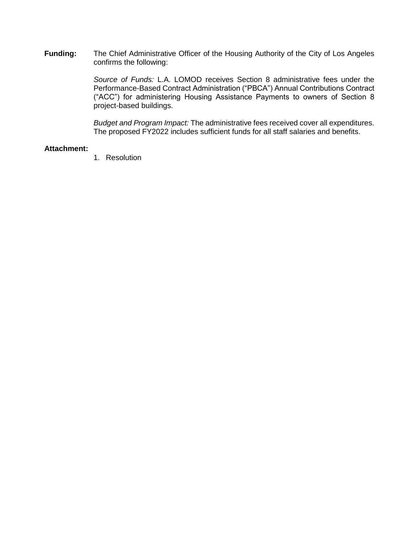**Funding:** The Chief Administrative Officer of the Housing Authority of the City of Los Angeles confirms the following:

> *Source of Funds:* L.A. LOMOD receives Section 8 administrative fees under the Performance-Based Contract Administration ("PBCA") Annual Contributions Contract ("ACC") for administering Housing Assistance Payments to owners of Section 8 project-based buildings.

> *Budget and Program Impact:* The administrative fees received cover all expenditures. The proposed FY2022 includes sufficient funds for all staff salaries and benefits.

## **Attachment:**

1. Resolution